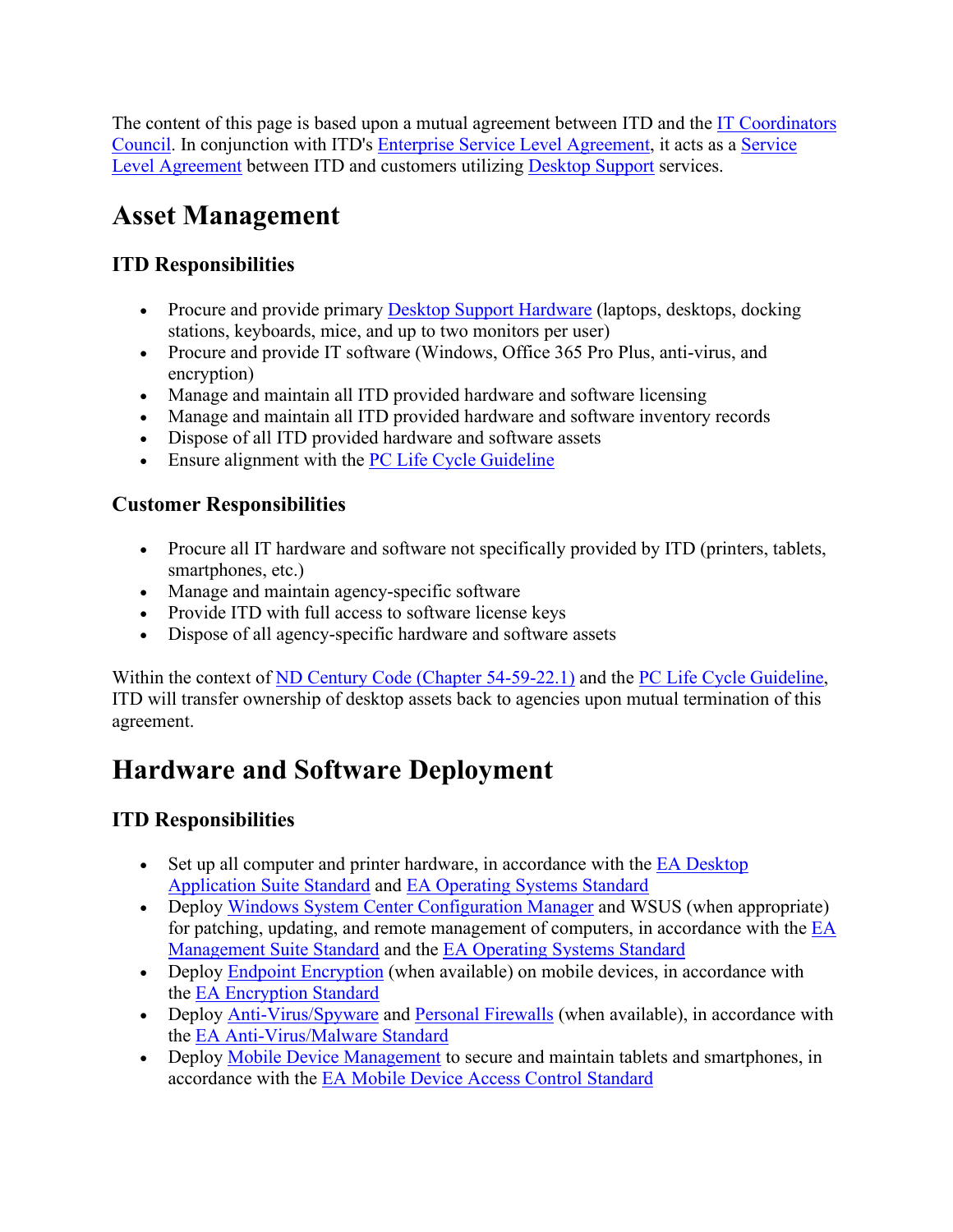The content of this page is based upon a mutual agreement between ITD and the [IT Coordinators](http://www.nd.gov/itd/statewide-alliances/itcc)  [Council.](http://www.nd.gov/itd/statewide-alliances/itcc) In conjunction with ITD's [Enterprise Service Level Agreement,](https://www.nd.gov/itd/node/4018) it acts as a [Service](http://www.nd.gov/itd/support/service-level-agreements)  [Level Agreement](http://www.nd.gov/itd/support/service-level-agreements) between ITD and customers utilizing [Desktop Support](https://www.nd.gov/itd/node/99) services.

# **Asset Management**

### **ITD Responsibilities**

- Procure and provide primary [Desktop Support Hardware](https://www.nd.gov/itd/node/2673) (laptops, desktops, docking stations, keyboards, mice, and up to two monitors per user)
- Procure and provide IT software (Windows, Office 365 Pro Plus, anti-virus, and encryption)
- Manage and maintain all ITD provided hardware and software licensing
- Manage and maintain all ITD provided hardware and software inventory records
- Dispose of all ITD provided hardware and software assets
- Ensure alignment with the [PC Life Cycle Guideline](http://www.nd.gov/itd/standards/pc-life-cycle-guideline)

### **Customer Responsibilities**

- Procure all IT hardware and software not specifically provided by ITD (printers, tablets, smartphones, etc.)
- Manage and maintain agency-specific software
- Provide ITD with full access to software license keys
- Dispose of all agency-specific hardware and software assets

Within the context of [ND Century Code \(Chapter 54-59-22.1\)](http://www.legis.nd.gov/cencode/t54c59.pdf) and the [PC Life Cycle Guideline,](http://www.nd.gov/itd/standards/pc-life-cycle-guideline) ITD will transfer ownership of desktop assets back to agencies upon mutual termination of this agreement.

# **Hardware and Software Deployment**

### **ITD Responsibilities**

- Set up all computer and printer hardware, in accordance with the  $E A$  Desktop [Application Suite Standard](http://www.nd.gov/itd/standards/desktop-application-suite) and [EA Operating Systems Standard](https://www.nd.gov/itd/node/7037)
- Deploy [Windows System Center Configuration Manager](https://www.nd.gov/itd/node/101) and WSUS (when appropriate) for patching, updating, and remote management of computers, in accordance with the [EA](http://www.nd.gov/itd/standards/desktop-management-suite)  [Management Suite Standard](http://www.nd.gov/itd/standards/desktop-management-suite) and the [EA Operating Systems](https://www.nd.gov/itd/node/7037) Standard
- Deploy [Endpoint Encryption](http://www.nd.gov/itd/services/endpoint-encryption) (when available) on mobile devices, in accordance with the [EA Encryption Standard](http://www.nd.gov/itd/standards/encryption)
- Deploy [Anti-Virus/Spyware](http://www.nd.gov/itd/services/anti-virusanti-spyware) and [Personal Firewalls](http://www.nd.gov/itd/services/personal-firewall) (when available), in accordance with the [EA Anti-Virus/Malware Standard](http://www.nd.gov/itd/standards/anti-virusmalware)
- Deploy [Mobile Device Management](http://www.nd.gov/itd/services/mobile-device-management) to secure and maintain tablets and smartphones, in accordance with the [EA Mobile Device Access Control Standard](http://www.nd.gov/itd/standards/mobile-device-access-control)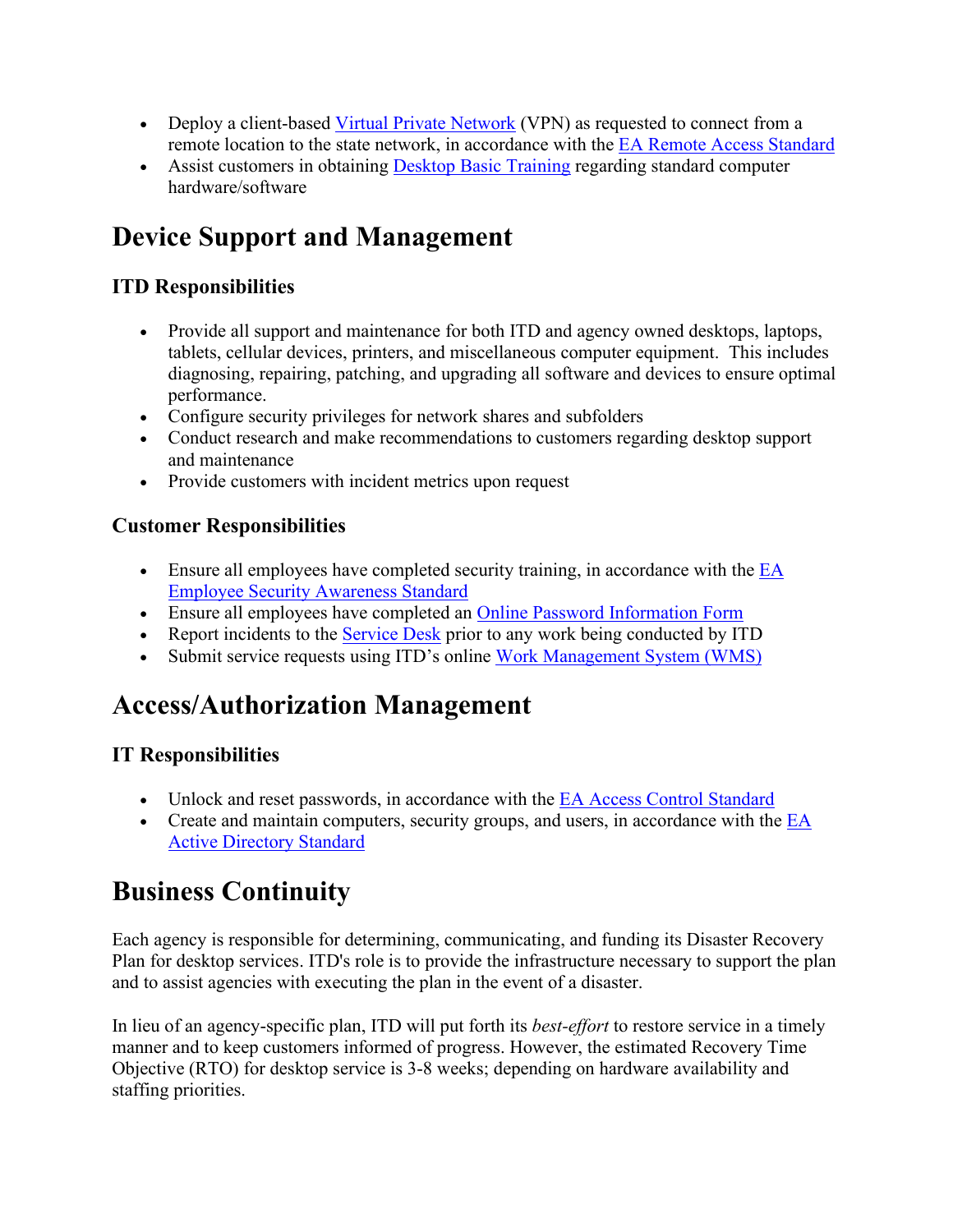- Deploy a client-based [Virtual Private Network](http://www.nd.gov/itd/service-info/virtual-private-network) (VPN) as requested to connect from a remote location to the state network, in accordance with the [EA Remote Access Standard](http://www.nd.gov/itd/standards/remote-access)
- Assist customers in obtaining [Desktop Basic Training](https://www.nd.gov/itd/node/3718) regarding standard computer hardware/software

# **Device Support and Management**

#### **ITD Responsibilities**

- Provide all support and maintenance for both ITD and agency owned desktops, laptops, tablets, cellular devices, printers, and miscellaneous computer equipment. This includes diagnosing, repairing, patching, and upgrading all software and devices to ensure optimal performance.
- Configure security privileges for network shares and subfolders
- Conduct research and make recommendations to customers regarding desktop support and maintenance
- Provide customers with incident metrics upon request

#### **Customer Responsibilities**

- Ensure all employees have completed security training, in accordance with the EA [Employee Security Awareness Standard](http://www.nd.gov/itd/standards/employee-security-awareness)
- Ensure all employees have completed an [Online Password Information Form](https://secure.intranetapps.nd.gov/itd/passwordchg/emailentry.htm)
- Report incidents to the [Service Desk](http://www.nd.gov/itd/support) prior to any work being conducted by ITD
- Submit service requests using ITD's online [Work Management System \(WMS\)](https://apps.nd.gov/itd/workorder/login.htm)

## **Access/Authorization Management**

#### **IT Responsibilities**

- Unlock and reset passwords, in accordance with the [EA Access Control Standard](http://www.nd.gov/itd/standards/access-control)
- Create and maintain computers, security groups, and users, in accordance with the  $EA$ [Active Directory Standard](http://www.nd.gov/itd/standards/active-directory)

## **Business Continuity**

Each agency is responsible for determining, communicating, and funding its Disaster Recovery Plan for desktop services. ITD's role is to provide the infrastructure necessary to support the plan and to assist agencies with executing the plan in the event of a disaster.

In lieu of an agency-specific plan, ITD will put forth its *best-effort* to restore service in a timely manner and to keep customers informed of progress. However, the estimated Recovery Time Objective (RTO) for desktop service is 3-8 weeks; depending on hardware availability and staffing priorities.